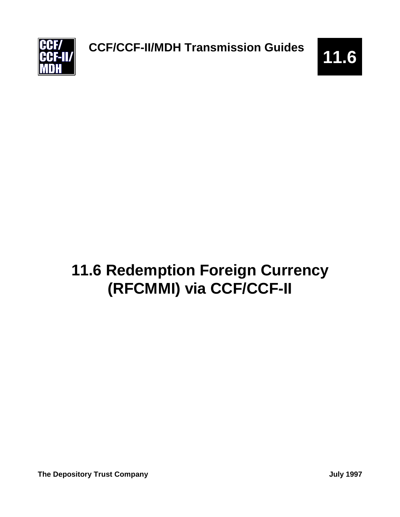

# **11.6 Redemption Foreign Currency (RFCMMI) via CCF/CCF-II**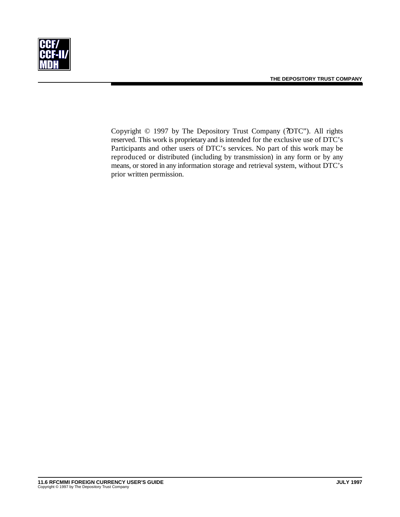

Copyright © 1997 by The Depository Trust Company (?DTC"). All rights reserved. This work is proprietary and is intended for the exclusive use of DTC's Participants and other users of DTC's services. No part of this work may be reproduced or distributed (including by transmission) in any form or by any means, or stored in any information storage and retrieval system, without DTC's prior written permission.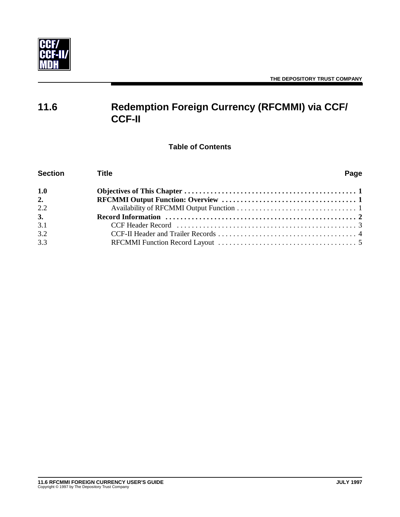

# **11.6 Redemption Foreign Currency (RFCMMI) via CCF/ CCF-II**

**Table of Contents**

| <b>Section</b> | <b>Title</b>                                                                                     | Page |
|----------------|--------------------------------------------------------------------------------------------------|------|
| 1.0            |                                                                                                  |      |
| 2.             |                                                                                                  |      |
| 2.2            |                                                                                                  |      |
| 3.             | Record Information $\dots\dots\dots\dots\dots\dots\dots\dots\dots\dots\dots\dots\dots\dots\dots$ |      |
| 3.1            |                                                                                                  |      |
| 3.2            |                                                                                                  |      |
| 3.3            |                                                                                                  |      |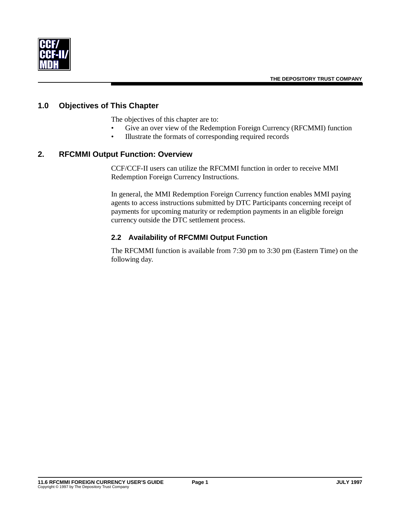

#### **1.0 Objectives of This Chapter**

The objectives of this chapter are to:

- Give an over view of the Redemption Foreign Currency (RFCMMI) function
- Illustrate the formats of corresponding required records

#### **2. RFCMMI Output Function: Overview**

CCF/CCF-II users can utilize the RFCMMI function in order to receive MMI Redemption Foreign Currency Instructions.

In general, the MMI Redemption Foreign Currency function enables MMI paying agents to access instructions submitted by DTC Participants concerning receipt of payments for upcoming maturity or redemption payments in an eligible foreign currency outside the DTC settlement process.

#### **2.2 Availability of RFCMMI Output Function**

The RFCMMI function is available from 7:30 pm to 3:30 pm (Eastern Time) on the following day.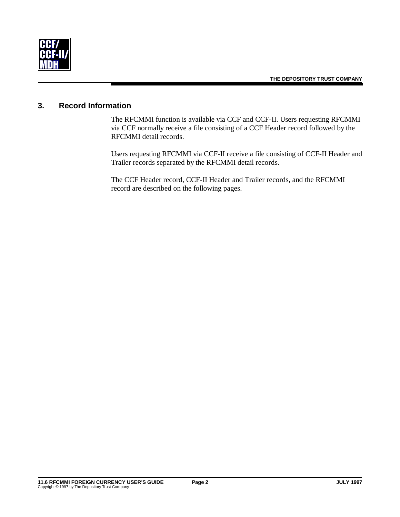

## **3. Record Information**

The RFCMMI function is available via CCF and CCF-II. Users requesting RFCMMI via CCF normally receive a file consisting of a CCF Header record followed by the RFCMMI detail records.

Users requesting RFCMMI via CCF-II receive a file consisting of CCF-II Header and Trailer records separated by the RFCMMI detail records.

The CCF Header record, CCF-II Header and Trailer records, and the RFCMMI record are described on the following pages.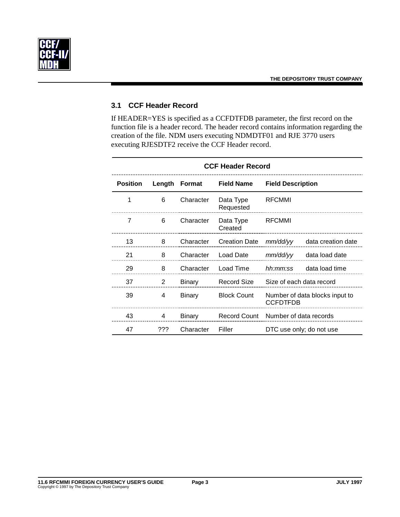

#### **3.1 CCF Header Record**

If HEADER=YES is specified as a CCFDTFDB parameter, the first record on the function file is a header record. The header record contains information regarding the creation of the file. NDM users executing NDMDTF01 and RJE 3770 users executing RJESDTF2 receive the CCF Header record.

| <b>CCF Header Record</b> |        |           |                        |                          |                                |
|--------------------------|--------|-----------|------------------------|--------------------------|--------------------------------|
| <b>Position</b>          | Length | Format    | <b>Field Name</b>      | <b>Field Description</b> |                                |
| 1                        | 6      | Character | Data Type<br>Requested | <b>RFCMMI</b>            |                                |
| 7                        | 6      | Character | Data Type<br>Created   | <b>RFCMMI</b>            |                                |
| 13                       | 8      | Character | <b>Creation Date</b>   | mm/dd/yy                 | data creation date             |
| 21                       | 8      | Character | Load Date              | mm/dd/yy                 | data load date                 |
| 29                       | 8      | Character | Load Time              | hh:mm:ss                 | data load time                 |
| 37                       | 2      | Binary    | <b>Record Size</b>     | Size of each data record |                                |
| 39                       | 4      | Binary    | <b>Block Count</b>     | <b>CCFDTFDB</b>          | Number of data blocks input to |
| 43                       | 4      | Binary    | <b>Record Count</b>    | Number of data records   |                                |
| 47                       | ???    | Character | Filler                 |                          | DTC use only; do not use       |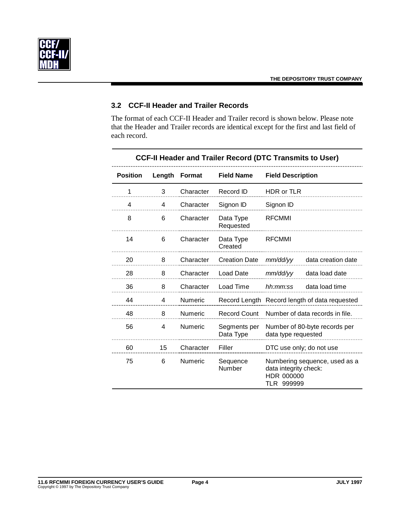

## **3.2 CCF-II Header and Trailer Records**

The format of each CCF-II Header and Trailer record is shown below. Please note that the Header and Trailer records are identical except for the first and last field of each record.

| <b>Position</b> | Length | <b>Format</b>  | <b>Field Name</b>         | <b>Field Description</b>                                                           |
|-----------------|--------|----------------|---------------------------|------------------------------------------------------------------------------------|
| 1               | 3      | Character      | Record ID                 | HDR or TLR                                                                         |
| 4               | 4      | Character      | Signon ID                 | Signon ID                                                                          |
| 8               | 6      | Character      | Data Type<br>Requested    | <b>RFCMMI</b>                                                                      |
| 14              | 6      | Character      | Data Type<br>Created      | <b>RFCMMI</b>                                                                      |
| 20              | 8      | Character      | <b>Creation Date</b>      | data creation date<br>mm/dd/yy                                                     |
| 28              | 8      | Character      | <b>Load Date</b>          | data load date<br>mm/dd/yy                                                         |
| 36              | 8      | Character      | Load Time                 | data load time<br>hh:mm:ss                                                         |
| 44              | 4      | Numeric        |                           | Record Length Record length of data requested                                      |
| 48              | 8      | Numeric        | <b>Record Count</b>       | Number of data records in file.                                                    |
| 56              | 4      | <b>Numeric</b> | Segments per<br>Data Type | Number of 80-byte records per<br>data type requested                               |
| 60              | 15     | Character      | Filler                    | DTC use only; do not use                                                           |
| 75              | 6      | Numeric        | Sequence<br>Number        | Numbering sequence, used as a<br>data integrity check:<br>HDR 000000<br>TLR 999999 |

#### **CCF-II Header and Trailer Record (DTC Transmits to User)**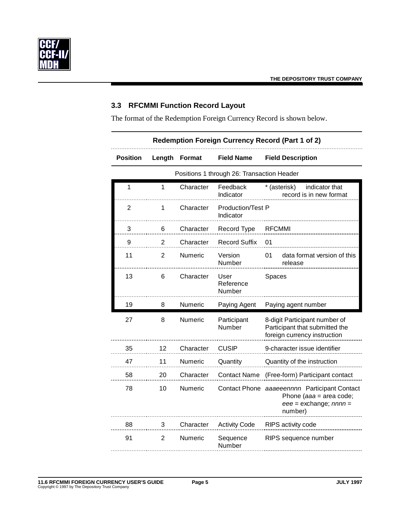

### **3.3 RFCMMI Function Record Layout**

The format of the Redemption Foreign Currency Record is shown below.

| <b>Redemption Foreign Currency Record (Part 1 of 2)</b> |                                            |               |                                       |                                                                                                                      |  |
|---------------------------------------------------------|--------------------------------------------|---------------|---------------------------------------|----------------------------------------------------------------------------------------------------------------------|--|
| <b>Position</b>                                         | Length                                     | <b>Format</b> | Field Name                            | <b>Field Description</b>                                                                                             |  |
|                                                         | Positions 1 through 26: Transaction Header |               |                                       |                                                                                                                      |  |
| 1                                                       | 1                                          | Character     | Feedback<br>Indicator                 | * (asterisk)<br>indicator that<br>record is in new format                                                            |  |
| $\overline{2}$                                          | 1                                          | Character     | <b>Production/Test P</b><br>Indicator |                                                                                                                      |  |
| 3                                                       | 6                                          | Character     | Record Type                           | <b>RFCMMI</b>                                                                                                        |  |
| 9                                                       | 2                                          | Character     | <b>Record Suffix</b>                  | 01                                                                                                                   |  |
| 11                                                      | $\overline{2}$                             | Numeric       | Version<br>Number                     | data format version of this<br>01<br>release                                                                         |  |
| 13                                                      | 6                                          | Character     | User<br>Reference<br>Number           | Spaces                                                                                                               |  |
| 19                                                      | 8                                          | Numeric       | Paying Agent                          | Paying agent number                                                                                                  |  |
| 27                                                      | 8                                          | Numeric       | Participant<br>Number                 | 8-digit Participant number of<br>Participant that submitted the<br>foreign currency instruction                      |  |
| 35                                                      | 12                                         | Character     | <b>CUSIP</b>                          | 9-character issue identifier                                                                                         |  |
| 47                                                      | 11                                         | Numeric       | Quantity                              | Quantity of the instruction                                                                                          |  |
| 58                                                      | 20                                         | Character     | <b>Contact Name</b>                   | (Free-form) Participant contact                                                                                      |  |
| 78                                                      | 10                                         | Numeric       |                                       | Contact Phone aaaeeennnn Participant Contact<br>Phone ( $aaa = area code$ ;<br>$eee =$ exchange; $nnnn =$<br>number) |  |
| 88                                                      | 3                                          | Character     | <b>Activity Code</b>                  | RIPS activity code                                                                                                   |  |
| 91                                                      | 2                                          | Numeric       | Sequence<br>Number                    | RIPS sequence number                                                                                                 |  |